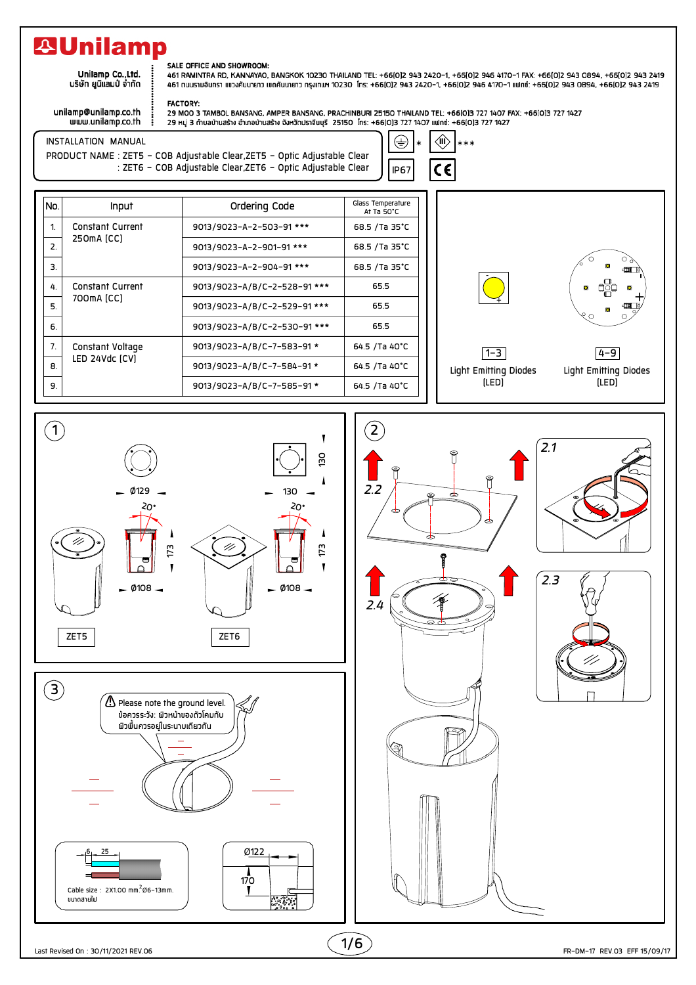## **29Unilamp**

Unilamp Co.,Ltd.<br>บริษัท ยูนิแลมป์ จำกัด

## SALE OFFICE AND SHOWROOM:

**FACTORY:** 

461 RAMINTRA RD, KANNAYAO, BANGKOK 10230 THAILAND TEL: +66[0]2 943 2420-1, +66[0]2 946 4170-1 FAX: +66[0]2 943 0894, +66[0]2 943 2419 461 ถนนรามอินทรา แขวงคันนายาว เขตคันนายาว ทรุงเทพฯ 10230 โทร: +66(0)2 943 2420-1, +66(0)2 946 4170-1 แฟทซ์: +66(0)2 943 0894, +66(0)2 943 2419

 $\star$ 

 $\langle \hat{\mathbb{I}} \rangle$ 

C€

 $***$ 

 $\bigoplus$ 

**IP67** 

unilamp@unilamp.co.th www.unilamp.co.th 29 MOO 3 TAMBOL BANSANG, AMPER BANSANG, PRACHINBURI 25150 THAILAND TEL: +66(0)3 727 1407 FAX: +66(0)3 727 1427 29 หมู่ 3 ถ้าบลบ้านสร้าง อำเภอบ้านสร้าง จังหวัดปราจีนบุรี 25150 โทร: +66(0)3 727 1407 แฟทซ์: +66(0)3 727 1427

INSTALLATION MANUAL PRODUCT NAME : ZET5 - COB Adjustable Clear, ZET5 - Optic Adjustable Clear<br>ZET6 - COB Adjustable Clear, ZET6 - Optic Adjustable Clear :

| No.            | Input                                 | Ordering Code                | Glass Temperature<br>At Ta 50°C |
|----------------|---------------------------------------|------------------------------|---------------------------------|
| 1              | <b>Constant Current</b><br>250mA [CC] | 9013/9023-A-2-503-91 ***     | 68.5 /Ta 35°C                   |
| 2.             |                                       | 9013/9023-A-2-901-91 ***     | 68.5 / Ta 35°C                  |
| 3.             |                                       | 9013/9023-A-2-904-91 ***     | 68.5 / Ta 35°C                  |
| 4.             | <b>Constant Current</b><br>700mA [CC] | 9013/9023-A/B/C-2-528-91 *** | 65.5                            |
| 5.             |                                       | 9013/9023-A/B/C-2-529-91 *** | 65.5                            |
| 6.             |                                       | 9013/9023-A/B/C-2-530-91 *** | 65.5                            |
| 7 <sub>1</sub> | Constant Voltage<br>LED 24Vdc [CV]    | 9013/9023-A/B/C-7-583-91 *   | 64.5 /Ta 40°C                   |
| 8.             |                                       | 9013/9023-A/B/C-7-584-91 *   | 64.5 /Ta 40°C                   |
| 9.             |                                       | 9013/9023-A/B/C-7-585-91 *   | 64.5 /Ta 40°C                   |



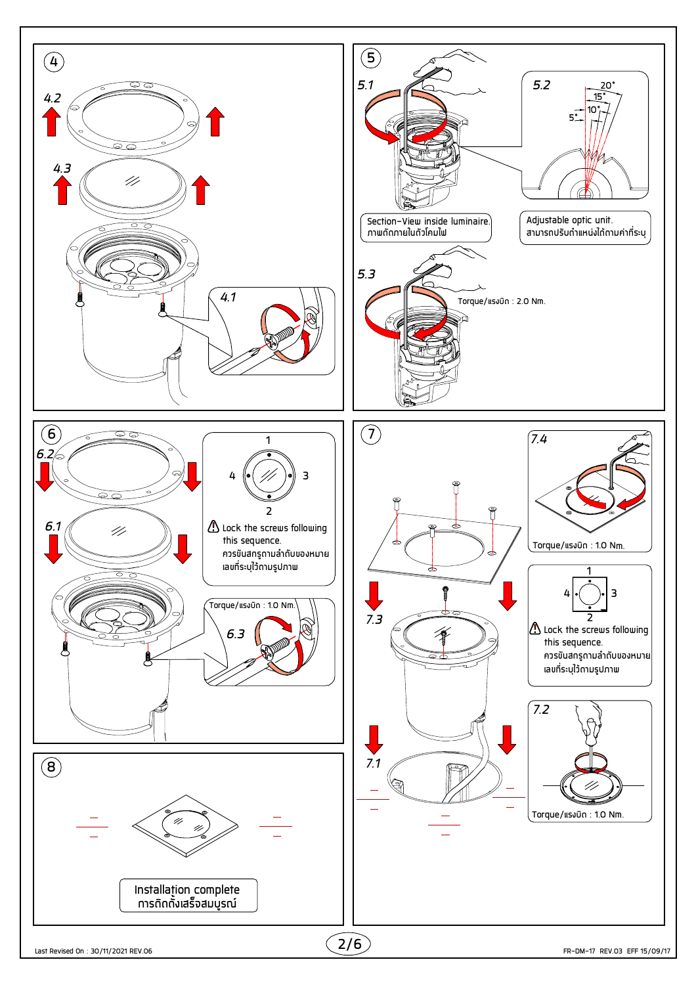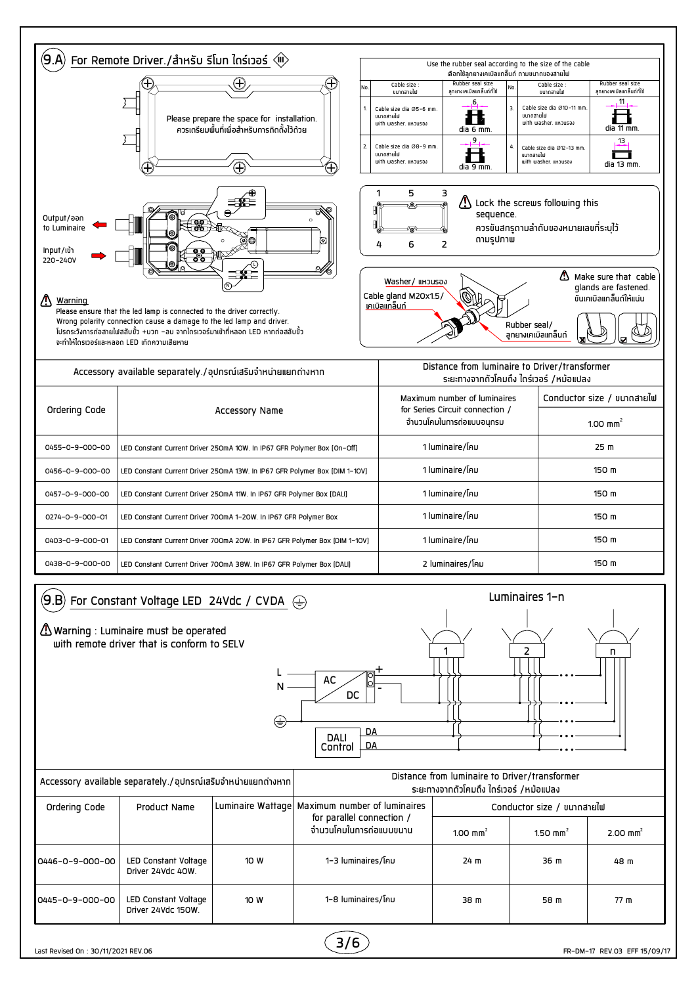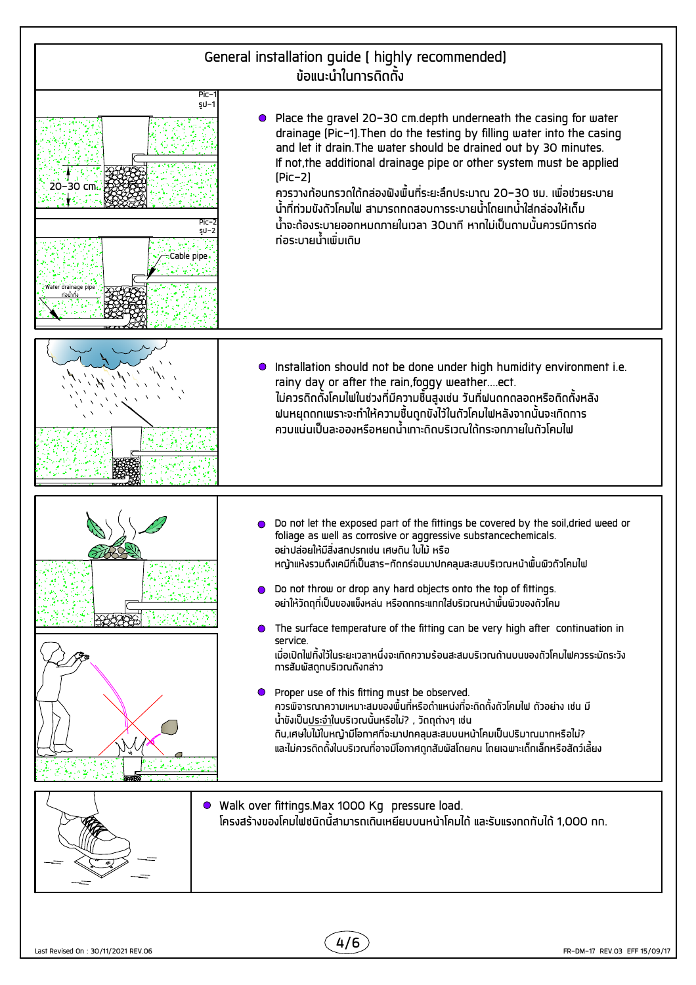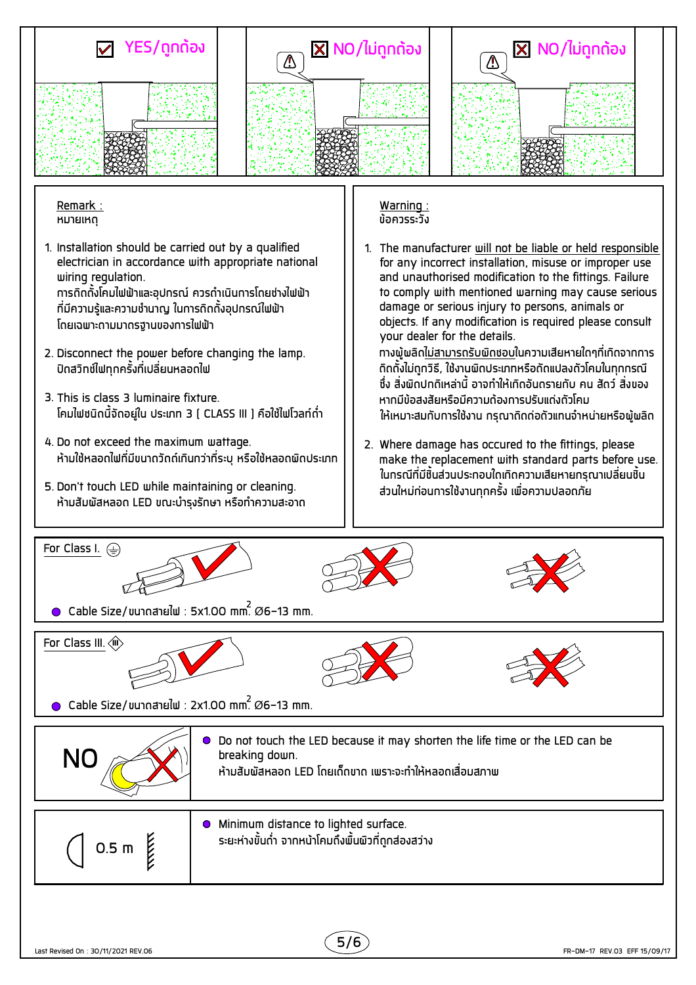

Remark : **HUJUHO** 

- 1. Installation should be carried out by a qualified electrician in accordance with appropriate national wiring regulation. ้ การถิดตั้งโคมไฟฟ้าและอปกรณ์ ควรดำเนินการโดยช่างไฟฟ้า ้ที่มีความร้และความชำนาญ ในการถิดถั<sup>้</sup>งอปกรณ์ไฟฟ้า
- 2. Disconnect the power before changing the lamp. ้ปิดสวิทช์ใฟทกครั้งที่เปลี่ยนหลอดใฟ

้โดยเฉพาะดามมาตรจำนของการไฟฟ้า

- 3. This is class 3 luminaire fixture. โคมไฟชนิดนี้จัดอยู่ใน ประเภท 3 ( CLASS III ) คือใช้ไฟโวลท์ดำ
- 4. Do not exceed the maximum wattage. ้ห้ามใช้หลอดไฟที่มีขนาดวัดด์เกินกว่าที่ระบ หรือใช้หลอดพิดประเภท
- 5. Don't touch LED while maintaining or cleaning. ้ห้ามสัมพัสหลอด LED ขณะบำรุงรักษา หรือทำความสะอาด

Warning : ข้อควรระวัง

1. The manufacturer will not be liable or held responsible for any incorrect installation, misuse or improper use and unauthorised modification to the fittings. Failure to comply with mentioned warning may cause serious damage or serious injury to persons, animals or objects. If any modification is required please consult your dealer for the details. ้ทางผู้ผลิตไม่สามารถรับผิดช<sub>ื่</sub>อบในความเสียหายใดๆที่เกิดจากการ

ู้ ถิดตั้งไม่ถูกวิธี, ใช้งานพิดประเภทหรือดัดแปลงตัวโคมในทุกกรณี ้ ซึ่ง สิ่งพิดปกติเหล่านี้ อาจทำให้เกิดอันดรายกับ คน สัตว์ สิ่งของ ้หากมีข้อสงสัยหรือมีความต้องการปรับแด่งดัวโคม ให้เหมาะสมกับการใช้งาน กรุณาถิดด่อดัวแทนจำหน่ายหรือพู้พลิด

2. Where damage has occured to the fittings, please make the replacement with standard parts before use. ้ในทรณีที่มีชิ้นส่วนประทอบใดเกิดความเสียหายทรุณาเปลี่ยนชิ้น ้ส่วนใหม่ก่อนการใช้งานทุกครั้ง เพื่อความปลอดภัย



Cable Size/ $y$ unnahe $d\omega$  : 5x1.00 mm.  $\varnothing$ 6-13 mm.









Cable Size/ขนาดสายใฟ : 2x1.00 mm.  $\varnothing$ 6-13 mm.